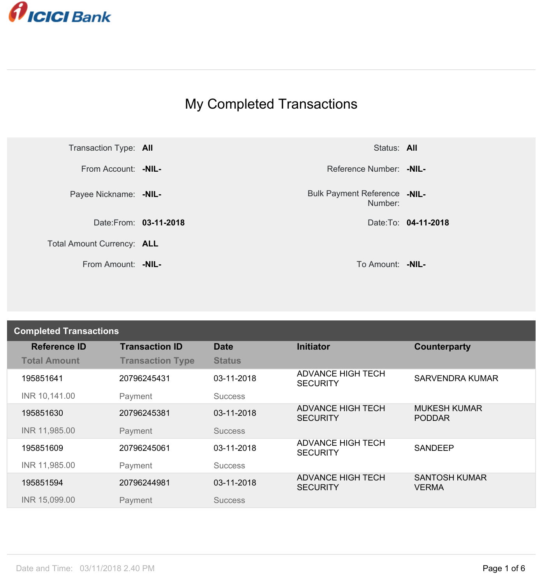

## My Completed Transactions



Number: **-NIL-**

| <b>Completed Transactions</b> |                         |                |                                             |                                      |  |
|-------------------------------|-------------------------|----------------|---------------------------------------------|--------------------------------------|--|
| <b>Reference ID</b>           | <b>Transaction ID</b>   | <b>Date</b>    | <b>Initiator</b>                            | Counterparty                         |  |
| <b>Total Amount</b>           | <b>Transaction Type</b> | <b>Status</b>  |                                             |                                      |  |
| 195851641                     | 20796245431             | 03-11-2018     | <b>ADVANCE HIGH TECH</b><br><b>SECURITY</b> | <b>SARVENDRA KUMAR</b>               |  |
| INR 10,141.00                 | Payment                 | <b>Success</b> |                                             |                                      |  |
| 195851630                     | 20796245381             | 03-11-2018     | <b>ADVANCE HIGH TECH</b><br><b>SECURITY</b> | <b>MUKESH KUMAR</b><br><b>PODDAR</b> |  |
| INR 11,985.00                 | Payment                 | <b>Success</b> |                                             |                                      |  |
| 195851609                     | 20796245061             | 03-11-2018     | <b>ADVANCE HIGH TECH</b><br><b>SECURITY</b> | <b>SANDEEP</b>                       |  |
| INR 11,985.00                 | Payment                 | <b>Success</b> |                                             |                                      |  |
| 195851594                     | 20796244981             | 03-11-2018     | <b>ADVANCE HIGH TECH</b><br><b>SECURITY</b> | <b>SANTOSH KUMAR</b><br><b>VERMA</b> |  |
| INR 15,099.00                 | Payment                 | <b>Success</b> |                                             |                                      |  |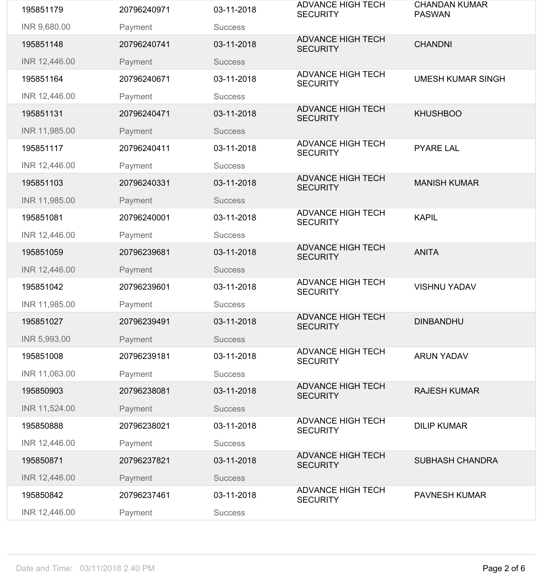| 195851179     | 20796240971 | 03-11-2018     | <b>ADVANCE HIGH TECH</b><br><b>SECURITY</b> | <b>CHANDAN KUMAR</b><br><b>PASWAN</b> |
|---------------|-------------|----------------|---------------------------------------------|---------------------------------------|
| INR 9,680.00  | Payment     | <b>Success</b> |                                             |                                       |
| 195851148     | 20796240741 | 03-11-2018     | <b>ADVANCE HIGH TECH</b><br><b>SECURITY</b> | <b>CHANDNI</b>                        |
| INR 12,446.00 | Payment     | <b>Success</b> |                                             |                                       |
| 195851164     | 20796240671 | 03-11-2018     | <b>ADVANCE HIGH TECH</b><br><b>SECURITY</b> | <b>UMESH KUMAR SINGH</b>              |
| INR 12,446.00 | Payment     | <b>Success</b> |                                             |                                       |
| 195851131     | 20796240471 | 03-11-2018     | <b>ADVANCE HIGH TECH</b><br><b>SECURITY</b> | <b>KHUSHBOO</b>                       |
| INR 11,985.00 | Payment     | <b>Success</b> |                                             |                                       |
| 195851117     | 20796240411 | 03-11-2018     | <b>ADVANCE HIGH TECH</b><br><b>SECURITY</b> | <b>PYARE LAL</b>                      |
| INR 12,446.00 | Payment     | <b>Success</b> |                                             |                                       |
| 195851103     | 20796240331 | 03-11-2018     | <b>ADVANCE HIGH TECH</b><br><b>SECURITY</b> | <b>MANISH KUMAR</b>                   |
| INR 11,985.00 | Payment     | <b>Success</b> |                                             |                                       |
| 195851081     | 20796240001 | 03-11-2018     | <b>ADVANCE HIGH TECH</b><br><b>SECURITY</b> | <b>KAPIL</b>                          |
| INR 12,446.00 | Payment     | <b>Success</b> |                                             |                                       |
| 195851059     | 20796239681 | 03-11-2018     | <b>ADVANCE HIGH TECH</b><br><b>SECURITY</b> | <b>ANITA</b>                          |
| INR 12,446.00 | Payment     | <b>Success</b> |                                             |                                       |
| 195851042     | 20796239601 | 03-11-2018     | <b>ADVANCE HIGH TECH</b><br><b>SECURITY</b> | <b>VISHNU YADAV</b>                   |
| INR 11,985.00 | Payment     | <b>Success</b> |                                             |                                       |
| 195851027     | 20796239491 | 03-11-2018     | <b>ADVANCE HIGH TECH</b><br><b>SECURITY</b> | <b>DINBANDHU</b>                      |
| INR 5,993.00  | Payment     | <b>Success</b> |                                             |                                       |
| 195851008     | 20796239181 | 03-11-2018     | <b>ADVANCE HIGH TECH</b><br><b>SECURITY</b> | <b>ARUN YADAV</b>                     |
| INR 11,063.00 | Payment     | <b>Success</b> |                                             |                                       |
| 195850903     | 20796238081 | 03-11-2018     | <b>ADVANCE HIGH TECH</b><br><b>SECURITY</b> | <b>RAJESH KUMAR</b>                   |
| INR 11,524.00 | Payment     | <b>Success</b> |                                             |                                       |
| 195850888     | 20796238021 | 03-11-2018     | <b>ADVANCE HIGH TECH</b><br><b>SECURITY</b> | <b>DILIP KUMAR</b>                    |
| INR 12,446.00 | Payment     | <b>Success</b> |                                             |                                       |
| 195850871     | 20796237821 | 03-11-2018     | <b>ADVANCE HIGH TECH</b><br><b>SECURITY</b> | <b>SUBHASH CHANDRA</b>                |
| INR 12,446.00 | Payment     | <b>Success</b> |                                             |                                       |
| 195850842     | 20796237461 | 03-11-2018     | <b>ADVANCE HIGH TECH</b><br><b>SECURITY</b> | <b>PAVNESH KUMAR</b>                  |
| INR 12,446.00 | Payment     | <b>Success</b> |                                             |                                       |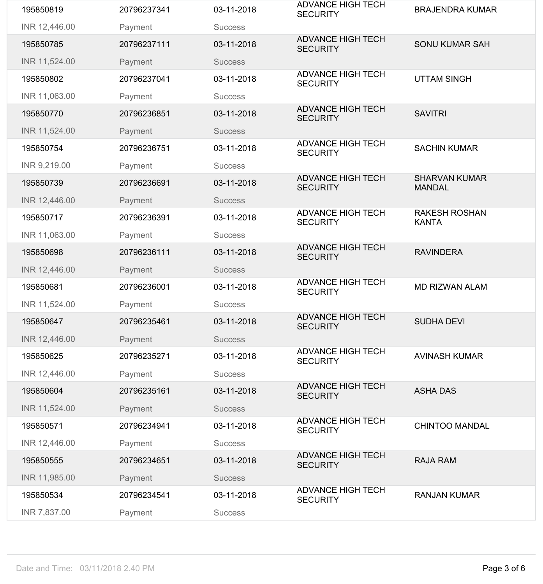| 195850819     | 20796237341 | 03-11-2018     | <b>ADVANCE HIGH TECH</b><br><b>SECURITY</b> | <b>BRAJENDRA KUMAR</b>                |
|---------------|-------------|----------------|---------------------------------------------|---------------------------------------|
| INR 12,446.00 | Payment     | <b>Success</b> |                                             |                                       |
| 195850785     | 20796237111 | 03-11-2018     | <b>ADVANCE HIGH TECH</b><br><b>SECURITY</b> | <b>SONU KUMAR SAH</b>                 |
| INR 11,524.00 | Payment     | <b>Success</b> |                                             |                                       |
| 195850802     | 20796237041 | 03-11-2018     | <b>ADVANCE HIGH TECH</b><br><b>SECURITY</b> | <b>UTTAM SINGH</b>                    |
| INR 11,063.00 | Payment     | <b>Success</b> |                                             |                                       |
| 195850770     | 20796236851 | 03-11-2018     | <b>ADVANCE HIGH TECH</b><br><b>SECURITY</b> | <b>SAVITRI</b>                        |
| INR 11,524.00 | Payment     | <b>Success</b> |                                             |                                       |
| 195850754     | 20796236751 | 03-11-2018     | <b>ADVANCE HIGH TECH</b><br><b>SECURITY</b> | <b>SACHIN KUMAR</b>                   |
| INR 9,219.00  | Payment     | <b>Success</b> |                                             |                                       |
| 195850739     | 20796236691 | 03-11-2018     | <b>ADVANCE HIGH TECH</b><br><b>SECURITY</b> | <b>SHARVAN KUMAR</b><br><b>MANDAL</b> |
| INR 12,446.00 | Payment     | <b>Success</b> |                                             |                                       |
| 195850717     | 20796236391 | 03-11-2018     | <b>ADVANCE HIGH TECH</b><br><b>SECURITY</b> | <b>RAKESH ROSHAN</b><br><b>KANTA</b>  |
| INR 11,063.00 | Payment     | <b>Success</b> |                                             |                                       |
| 195850698     | 20796236111 | 03-11-2018     | <b>ADVANCE HIGH TECH</b><br><b>SECURITY</b> | <b>RAVINDERA</b>                      |
| INR 12,446.00 | Payment     | <b>Success</b> |                                             |                                       |
| 195850681     | 20796236001 | 03-11-2018     | <b>ADVANCE HIGH TECH</b><br><b>SECURITY</b> | <b>MD RIZWAN ALAM</b>                 |
| INR 11,524.00 | Payment     | <b>Success</b> |                                             |                                       |
| 195850647     | 20796235461 | 03-11-2018     | <b>ADVANCE HIGH TECH</b><br><b>SECURITY</b> | <b>SUDHA DEVI</b>                     |
| INR 12,446.00 | Payment     | <b>Success</b> |                                             |                                       |
| 195850625     | 20796235271 | 03-11-2018     | <b>ADVANCE HIGH TECH</b><br><b>SECURITY</b> | <b>AVINASH KUMAR</b>                  |
| INR 12,446.00 | Payment     | <b>Success</b> |                                             |                                       |
| 195850604     | 20796235161 | 03-11-2018     | <b>ADVANCE HIGH TECH</b><br><b>SECURITY</b> | <b>ASHA DAS</b>                       |
| INR 11,524.00 | Payment     | <b>Success</b> |                                             |                                       |
| 195850571     | 20796234941 | 03-11-2018     | <b>ADVANCE HIGH TECH</b><br><b>SECURITY</b> | <b>CHINTOO MANDAL</b>                 |
| INR 12,446.00 | Payment     | <b>Success</b> |                                             |                                       |
| 195850555     | 20796234651 | 03-11-2018     | <b>ADVANCE HIGH TECH</b><br><b>SECURITY</b> | <b>RAJA RAM</b>                       |
| INR 11,985.00 | Payment     | <b>Success</b> |                                             |                                       |
| 195850534     | 20796234541 | 03-11-2018     | <b>ADVANCE HIGH TECH</b><br><b>SECURITY</b> | <b>RANJAN KUMAR</b>                   |
| INR 7,837.00  | Payment     | <b>Success</b> |                                             |                                       |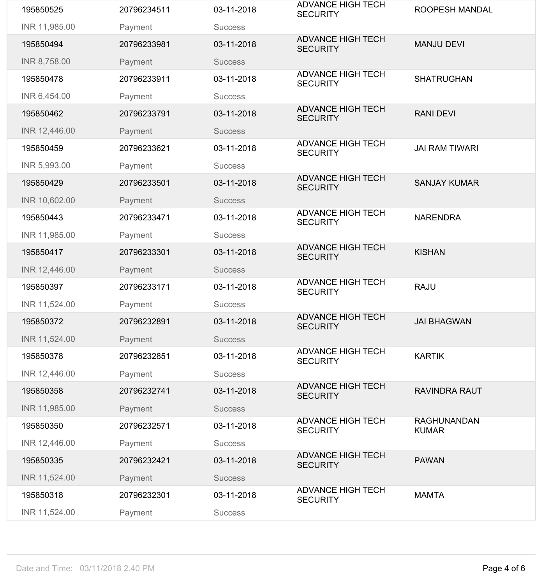| 195850525     | 20796234511 | 03-11-2018     | <b>ADVANCE HIGH TECH</b><br><b>SECURITY</b> | ROOPESH MANDAL                     |
|---------------|-------------|----------------|---------------------------------------------|------------------------------------|
| INR 11,985.00 | Payment     | <b>Success</b> |                                             |                                    |
| 195850494     | 20796233981 | 03-11-2018     | <b>ADVANCE HIGH TECH</b><br><b>SECURITY</b> | <b>MANJU DEVI</b>                  |
| INR 8,758.00  | Payment     | <b>Success</b> |                                             |                                    |
| 195850478     | 20796233911 | 03-11-2018     | <b>ADVANCE HIGH TECH</b><br><b>SECURITY</b> | <b>SHATRUGHAN</b>                  |
| INR 6,454.00  | Payment     | <b>Success</b> |                                             |                                    |
| 195850462     | 20796233791 | 03-11-2018     | <b>ADVANCE HIGH TECH</b><br><b>SECURITY</b> | <b>RANI DEVI</b>                   |
| INR 12,446.00 | Payment     | <b>Success</b> |                                             |                                    |
| 195850459     | 20796233621 | 03-11-2018     | <b>ADVANCE HIGH TECH</b><br><b>SECURITY</b> | <b>JAI RAM TIWARI</b>              |
| INR 5,993.00  | Payment     | <b>Success</b> |                                             |                                    |
| 195850429     | 20796233501 | 03-11-2018     | <b>ADVANCE HIGH TECH</b><br><b>SECURITY</b> | <b>SANJAY KUMAR</b>                |
| INR 10,602.00 | Payment     | <b>Success</b> |                                             |                                    |
| 195850443     | 20796233471 | 03-11-2018     | <b>ADVANCE HIGH TECH</b><br><b>SECURITY</b> | <b>NARENDRA</b>                    |
| INR 11,985.00 | Payment     | <b>Success</b> |                                             |                                    |
| 195850417     | 20796233301 | 03-11-2018     | <b>ADVANCE HIGH TECH</b><br><b>SECURITY</b> | <b>KISHAN</b>                      |
| INR 12,446.00 | Payment     | <b>Success</b> |                                             |                                    |
| 195850397     | 20796233171 | 03-11-2018     | <b>ADVANCE HIGH TECH</b><br><b>SECURITY</b> | <b>RAJU</b>                        |
| INR 11,524.00 | Payment     | <b>Success</b> |                                             |                                    |
| 195850372     | 20796232891 | 03-11-2018     | <b>ADVANCE HIGH TECH</b><br><b>SECURITY</b> | <b>JAI BHAGWAN</b>                 |
| INR 11,524.00 | Payment     | <b>Success</b> |                                             |                                    |
| 195850378     | 20796232851 | 03-11-2018     | <b>ADVANCE HIGH TECH</b><br><b>SECURITY</b> | <b>KARTIK</b>                      |
| INR 12,446.00 | Payment     | <b>Success</b> |                                             |                                    |
| 195850358     | 20796232741 | 03-11-2018     | <b>ADVANCE HIGH TECH</b><br><b>SECURITY</b> | <b>RAVINDRA RAUT</b>               |
| INR 11,985.00 | Payment     | <b>Success</b> |                                             |                                    |
| 195850350     | 20796232571 | 03-11-2018     | <b>ADVANCE HIGH TECH</b><br><b>SECURITY</b> | <b>RAGHUNANDAN</b><br><b>KUMAR</b> |
| INR 12,446.00 | Payment     | <b>Success</b> |                                             |                                    |
| 195850335     | 20796232421 | 03-11-2018     | <b>ADVANCE HIGH TECH</b><br><b>SECURITY</b> | <b>PAWAN</b>                       |
| INR 11,524.00 | Payment     | <b>Success</b> |                                             |                                    |
| 195850318     | 20796232301 | 03-11-2018     | <b>ADVANCE HIGH TECH</b><br><b>SECURITY</b> | <b>MAMTA</b>                       |
| INR 11,524.00 | Payment     | <b>Success</b> |                                             |                                    |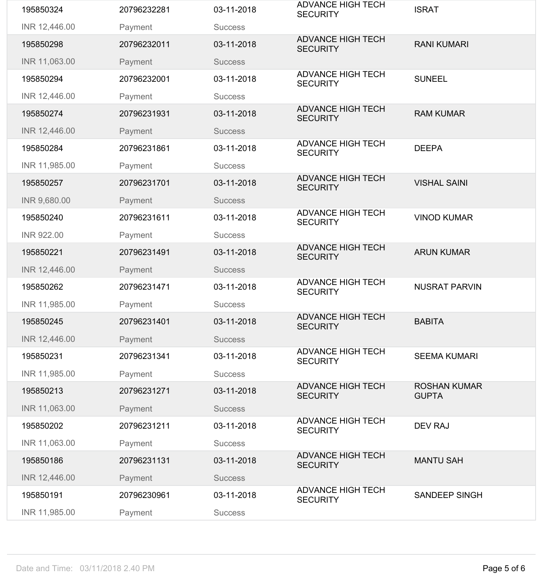| 195850324         | 20796232281 | 03-11-2018     | <b>ADVANCE HIGH TECH</b><br><b>SECURITY</b> | <b>ISRAT</b>                        |
|-------------------|-------------|----------------|---------------------------------------------|-------------------------------------|
| INR 12,446.00     | Payment     | <b>Success</b> |                                             |                                     |
| 195850298         | 20796232011 | 03-11-2018     | <b>ADVANCE HIGH TECH</b><br><b>SECURITY</b> | <b>RANI KUMARI</b>                  |
| INR 11,063.00     | Payment     | <b>Success</b> |                                             |                                     |
| 195850294         | 20796232001 | 03-11-2018     | <b>ADVANCE HIGH TECH</b><br><b>SECURITY</b> | <b>SUNEEL</b>                       |
| INR 12,446.00     | Payment     | <b>Success</b> |                                             |                                     |
| 195850274         | 20796231931 | 03-11-2018     | <b>ADVANCE HIGH TECH</b><br><b>SECURITY</b> | <b>RAM KUMAR</b>                    |
| INR 12,446.00     | Payment     | <b>Success</b> |                                             |                                     |
| 195850284         | 20796231861 | 03-11-2018     | <b>ADVANCE HIGH TECH</b><br><b>SECURITY</b> | <b>DEEPA</b>                        |
| INR 11,985.00     | Payment     | <b>Success</b> |                                             |                                     |
| 195850257         | 20796231701 | 03-11-2018     | <b>ADVANCE HIGH TECH</b><br><b>SECURITY</b> | <b>VISHAL SAINI</b>                 |
| INR 9,680.00      | Payment     | <b>Success</b> |                                             |                                     |
| 195850240         | 20796231611 | 03-11-2018     | <b>ADVANCE HIGH TECH</b><br><b>SECURITY</b> | <b>VINOD KUMAR</b>                  |
| <b>INR 922.00</b> | Payment     | <b>Success</b> |                                             |                                     |
| 195850221         | 20796231491 | 03-11-2018     | <b>ADVANCE HIGH TECH</b><br><b>SECURITY</b> | <b>ARUN KUMAR</b>                   |
| INR 12,446.00     | Payment     | <b>Success</b> |                                             |                                     |
| 195850262         | 20796231471 | 03-11-2018     | <b>ADVANCE HIGH TECH</b><br><b>SECURITY</b> | <b>NUSRAT PARVIN</b>                |
| INR 11,985.00     | Payment     | <b>Success</b> |                                             |                                     |
| 195850245         | 20796231401 | 03-11-2018     | <b>ADVANCE HIGH TECH</b><br><b>SECURITY</b> | <b>BABITA</b>                       |
| INR 12,446.00     | Payment     | <b>Success</b> |                                             |                                     |
| 195850231         | 20796231341 | 03-11-2018     | <b>ADVANCE HIGH TECH</b><br><b>SECURITY</b> | <b>SEEMA KUMARI</b>                 |
| INR 11,985.00     | Payment     | <b>Success</b> |                                             |                                     |
| 195850213         | 20796231271 | 03-11-2018     | <b>ADVANCE HIGH TECH</b><br><b>SECURITY</b> | <b>ROSHAN KUMAR</b><br><b>GUPTA</b> |
| INR 11,063.00     | Payment     | <b>Success</b> |                                             |                                     |
| 195850202         | 20796231211 | 03-11-2018     | <b>ADVANCE HIGH TECH</b><br><b>SECURITY</b> | <b>DEV RAJ</b>                      |
| INR 11,063.00     | Payment     | <b>Success</b> |                                             |                                     |
| 195850186         | 20796231131 | 03-11-2018     | <b>ADVANCE HIGH TECH</b><br><b>SECURITY</b> | <b>MANTU SAH</b>                    |
| INR 12,446.00     | Payment     | <b>Success</b> |                                             |                                     |
|                   |             |                | <b>ADVANCE HIGH TECH</b>                    |                                     |
| 195850191         | 20796230961 | 03-11-2018     | <b>SECURITY</b>                             | <b>SANDEEP SINGH</b>                |